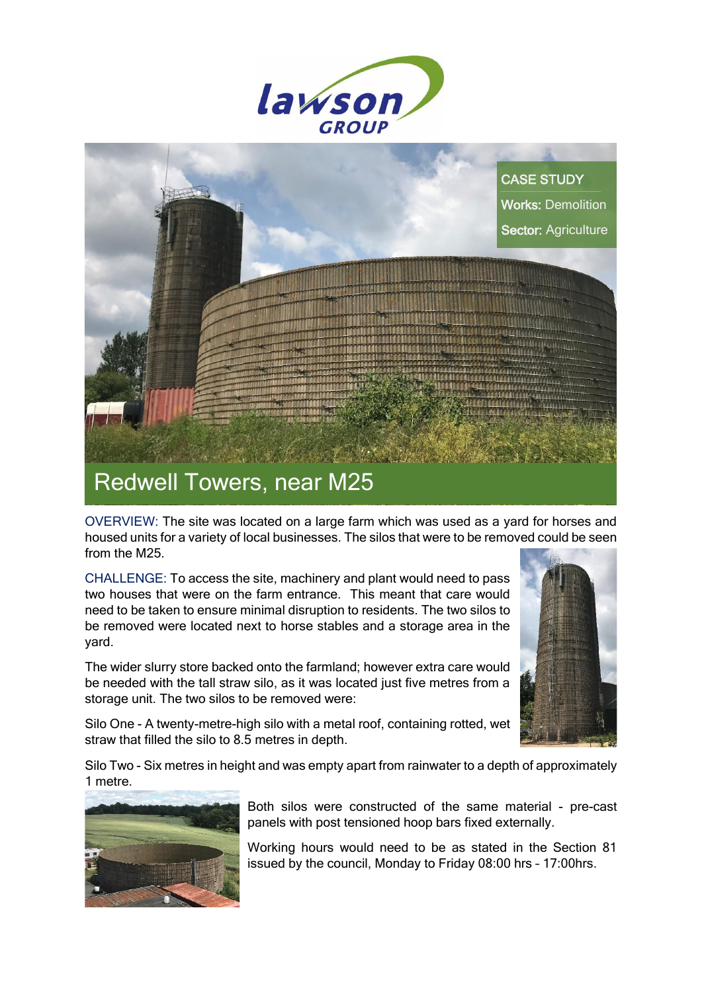



OVERVIEW: The site was located on a large farm which was used as a yard for horses and housed units for a variety of local businesses. The silos that were to be removed could be seen from the M25.

CHALLENGE: To access the site, machinery and plant would need to pass two houses that were on the farm entrance. This meant that care would need to be taken to ensure minimal disruption to residents. The two silos to be removed were located next to horse stables and a storage area in the yard.

The wider slurry store backed onto the farmland; however extra care would be needed with the tall straw silo, as it was located just five metres from a storage unit. The two silos to be removed were:



Silo One - A twenty-metre-high silo with a metal roof, containing rotted, wet straw that filled the silo to 8.5 metres in depth.

Silo Two - Six metres in height and was empty apart from rainwater to a depth of approximately 1 metre.



Both silos were constructed of the same material - pre-cast panels with post tensioned hoop bars fixed externally.

Working hours would need to be as stated in the Section 81 issued by the council, Monday to Friday 08:00 hrs – 17:00hrs.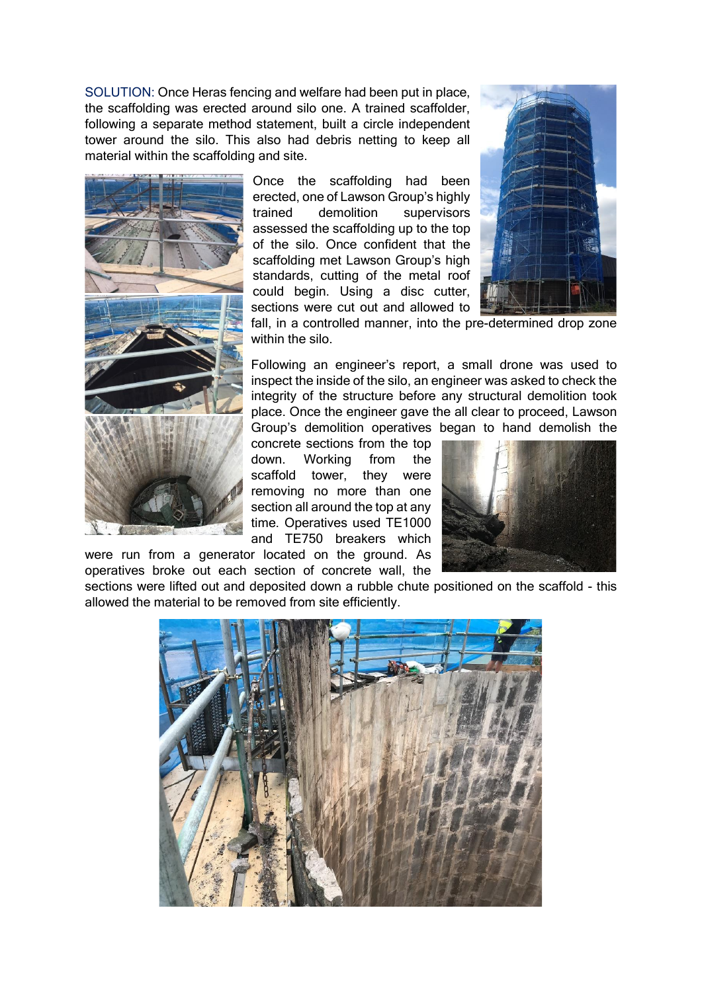SOLUTION: Once Heras fencing and welfare had been put in place, the scaffolding was erected around silo one. A trained scaffolder, following a separate method statement, built a circle independent tower around the silo. This also had debris netting to keep all material within the scaffolding and site.



Once the scaffolding had been erected, one of Lawson Group's highly trained demolition supervisors assessed the scaffolding up to the top of the silo. Once confident that the scaffolding met Lawson Group's high standards, cutting of the metal roof could begin. Using a disc cutter, sections were cut out and allowed to



fall, in a controlled manner, into the pre-determined drop zone within the silo.

Following an engineer's report, a small drone was used to inspect the inside of the silo, an engineer was asked to check the integrity of the structure before any structural demolition took place. Once the engineer gave the all clear to proceed, Lawson Group's demolition operatives began to hand demolish the

concrete sections from the top down. Working from the scaffold tower, they were removing no more than one section all around the top at any time. Operatives used TE1000 and TE750 breakers which



were run from a generator located on the ground. As operatives broke out each section of concrete wall, the

sections were lifted out and deposited down a rubble chute positioned on the scaffold - this allowed the material to be removed from site efficiently.